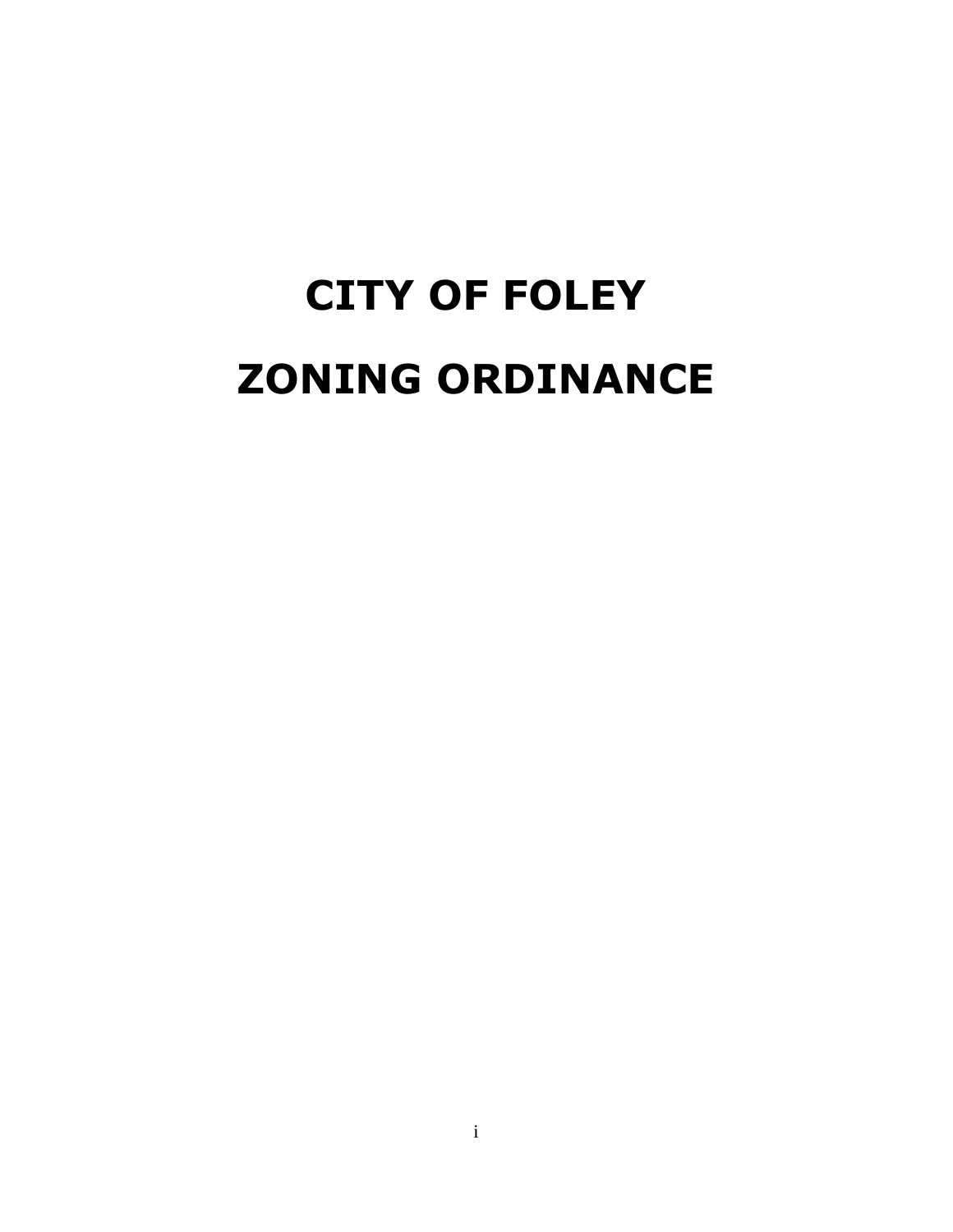# **CITY OF FOLEY ZONING ORDINANCE**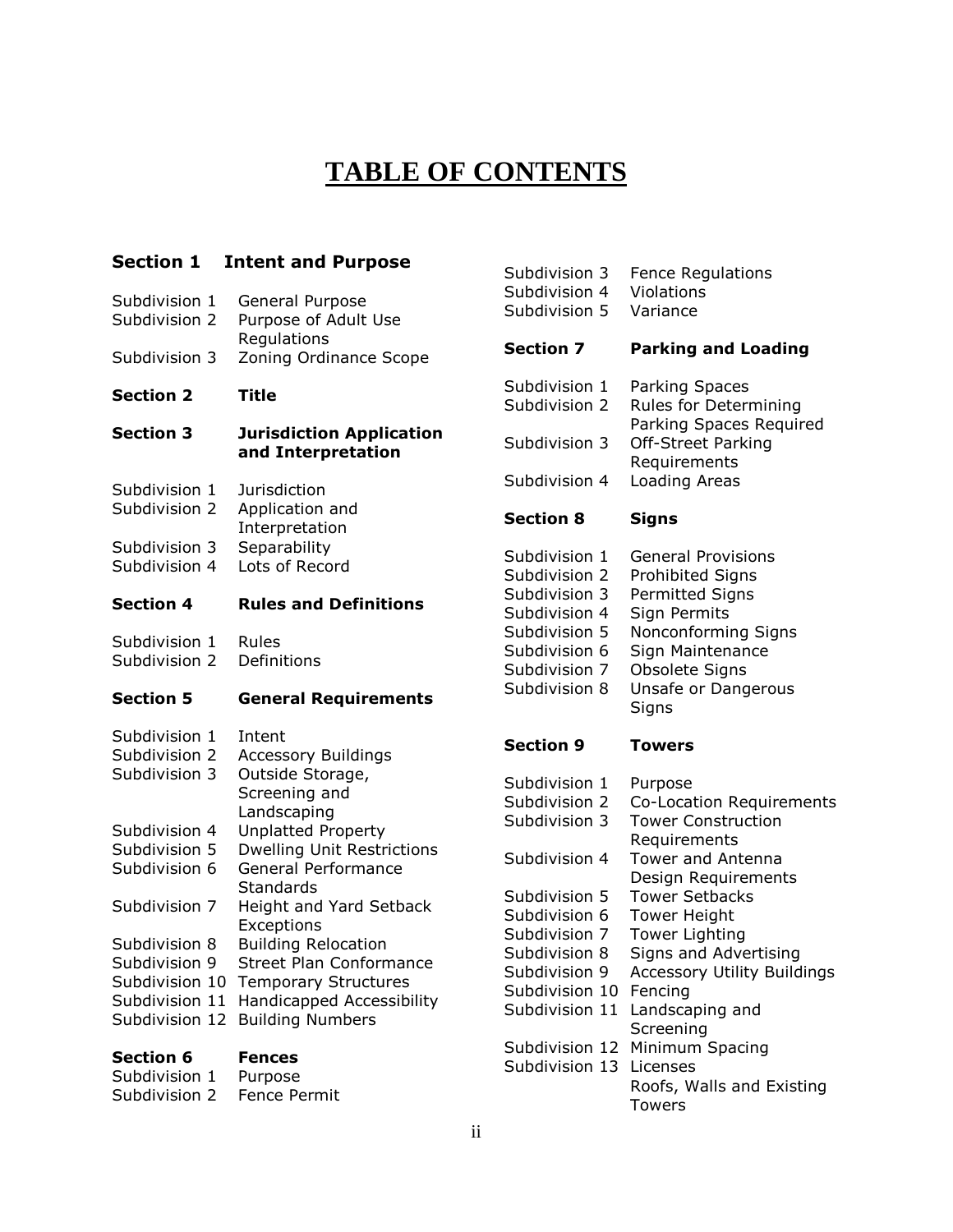## **TABLE OF CONTENTS**

#### **Section 1 Intent and Purpose**

| Subdivision 1 | General Purpose        |
|---------------|------------------------|
| Subdivision 2 | Purpose of Adult Use   |
|               | Regulations            |
| Subdivision 3 | Zoning Ordinance Scope |

#### **Section 2 Title**

#### **Section 3 Jurisdiction Application and Interpretation**

- Subdivision 1 Jurisdiction
- Subdivision 2 Application and
- Interpretation
- Subdivision 3 Separability<br>Subdivision 4 Lots of Record
- Subdivision 4

#### **Section 4 Rules and Definitions**

Subdivision 1 Rules<br>Subdivision 2 Definitions Subdivision 2

Subdivision 1 Purpose Subdivision 2 Fence Permit

#### **Section 5 General Requirements**

| Section 6      | Fences                                   |
|----------------|------------------------------------------|
| Subdivision 12 | <b>Building Numbers</b>                  |
| Subdivision 11 | <b>Handicapped Accessibility</b>         |
| Subdivision 10 | <b>Temporary Structures</b>              |
| Subdivision 9  | Street Plan Conformance                  |
| Subdivision 8  | <b>Building Relocation</b>               |
|                | Exceptions                               |
| Subdivision 7  | Height and Yard Setback                  |
| Subdivision 6  | Standards                                |
|                | General Performance                      |
| Subdivision 5  | <b>Dwelling Unit Restrictions</b>        |
| Subdivision 4  | Landscaping<br><b>Unplatted Property</b> |
|                | Screening and                            |
| Subdivision 3  | Outside Storage,                         |
| Subdivision 2  | <b>Accessory Buildings</b>               |
| Subdivision 1  | Intent                                   |
|                |                                          |

| Subdivision 4<br>Subdivision 5                                                                                                       | Violations<br>Variance                                                                                                                                                                             |
|--------------------------------------------------------------------------------------------------------------------------------------|----------------------------------------------------------------------------------------------------------------------------------------------------------------------------------------------------|
| <b>Section 7</b>                                                                                                                     | <b>Parking and Loading</b>                                                                                                                                                                         |
| Subdivision 1<br>Subdivision 2                                                                                                       | <b>Parking Spaces</b><br>Rules for Determining<br>Parking Spaces Required                                                                                                                          |
| Subdivision 3                                                                                                                        | Off-Street Parking<br>Requirements                                                                                                                                                                 |
| Subdivision 4                                                                                                                        | <b>Loading Areas</b>                                                                                                                                                                               |
| <b>Section 8</b>                                                                                                                     | <b>Signs</b>                                                                                                                                                                                       |
| Subdivision 1<br>Subdivision 2<br>Subdivision 3<br>Subdivision 4<br>Subdivision 5<br>Subdivision 6<br>Subdivision 7<br>Subdivision 8 | <b>General Provisions</b><br><b>Prohibited Signs</b><br><b>Permitted Signs</b><br>Sign Permits<br>Nonconforming Signs<br>Sign Maintenance<br><b>Obsolete Signs</b><br>Unsafe or Dangerous<br>Signs |
| <b>Section 9</b>                                                                                                                     | Towers                                                                                                                                                                                             |
| Subdivision 1<br>Subdivision 2<br>Subdivision 3<br>Subdivision 4                                                                     | Purpose<br>Co-Location Requirements<br><b>Tower Construction</b><br>Requirements<br><b>Tower and Antenna</b>                                                                                       |
| Subdivision 5<br>Subdivision 6<br>Subdivision 7<br>Subdivision 8<br>Subdivision 9<br>Subdivision 10                                  | Design Requirements<br><b>Tower Setbacks</b><br><b>Tower Height</b><br><b>Tower Lighting</b><br>Signs and Advertising<br><b>Accessory Utility Buildings</b><br>Fencing                             |

Subdivision 3 Fence Regulations

- Subdivision 11 Landscaping and **Screening** Subdivision 12 Minimum Spacing
- Subdivision 13 Licenses Roofs, Walls and Existing Towers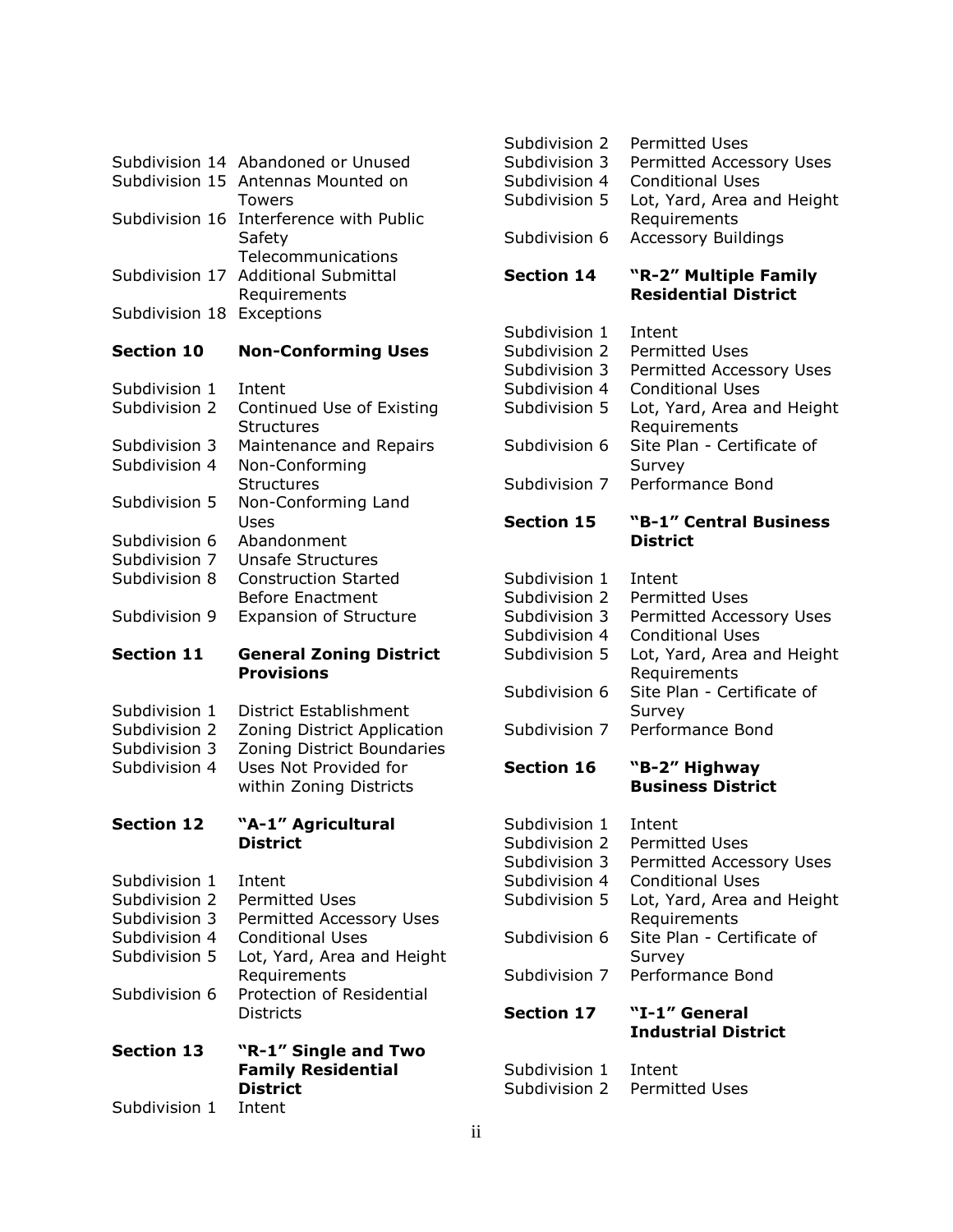|                           | Subdivision 14 Abandoned or Unused      |
|---------------------------|-----------------------------------------|
|                           | Subdivision 15 Antennas Mounted on      |
|                           | Towers                                  |
|                           | Subdivision 16 Interference with Public |
|                           | Safety                                  |
|                           | Telecommunications                      |
|                           | Subdivision 17 Additional Submittal     |
|                           | Requirements                            |
| Subdivision 18 Exceptions |                                         |

#### **Section 10 Non-Conforming Uses**

| Subdivision 1 | Intent                        |
|---------------|-------------------------------|
| Subdivision 2 | Continued Use of Existing     |
|               | Structures                    |
| Subdivision 3 | Maintenance and Repairs       |
| Subdivision 4 | Non-Conforming                |
|               | Structures                    |
| Subdivision 5 | Non-Conforming Land           |
|               | Uses                          |
| Subdivision 6 | Abandonment                   |
| Subdivision 7 | Unsafe Structures             |
| Subdivision 8 | <b>Construction Started</b>   |
|               | Before Enactment              |
| Subdivision 9 | <b>Expansion of Structure</b> |
|               |                               |

#### **Section 11 General Zoning District Provisions**

- Subdivision 1 District Establishment
- Subdivision 2 Zoning District Application
- Subdivision 3 Zoning District Boundaries
- Subdivision 4 Uses Not Provided for within Zoning Districts

#### **Section 12 "A-1" Agricultural District**

Subdivision 1 Intent Subdivision 2 Permitted Uses Subdivision 3 Permitted Accessory Uses Subdivision 4 Conditional Uses Subdivision 5 Lot, Yard, Area and Height Requirements Subdivision 6 Protection of Residential **Districts Section 13 "R-1" Single and Two Family Residential District**

#### Subdivision 1 Intent

| Subdivision 2 | Permitted Uses                           |
|---------------|------------------------------------------|
|               | Subdivision 3 Permitted Accessory Uses   |
|               | Subdivision 4 Conditional Uses           |
|               | Subdivision 5 Lot, Yard, Area and Height |
|               | Requirements                             |
|               | Subdivision 6 Accessory Buildings        |

#### **Section 14 "R-2" Multiple Family Residential District**

Subdivision 1 Intent Subdivision 2 Permitted Uses Subdivision 3 Permitted Accessory Uses Subdivision 4 Conditional Uses Subdivision 5 Lot, Yard, Area and Height Requirements Subdivision 6 Site Plan - Certificate of **Survey** Subdivision 7 Performance Bond

#### **Section 15 "B-1" Central Business District**

- Subdivision 1 Intent Subdivision 2 Permitted Uses Subdivision 3 Permitted Accessory Uses Subdivision 4 Conditional Uses Subdivision 5 Lot, Yard, Area and Height Requirements Subdivision 6 Site Plan - Certificate of **Survey**
- Subdivision 7 Performance Bond

#### **Section 16 "B-2" Highway Business District**

| Subdivision 1 | Intent                          |
|---------------|---------------------------------|
| Subdivision 2 | <b>Permitted Uses</b>           |
| Subdivision 3 | <b>Permitted Accessory Uses</b> |
| Subdivision 4 | Conditional Uses                |
| Subdivision 5 | Lot, Yard, Area and Height      |
|               | Requirements                    |
| Subdivision 6 | Site Plan - Certificate of      |
|               | Survey                          |
| Subdivision 7 | Performance Bond                |
|               |                                 |

#### **Section 17 "I-1" General Industrial District**

| Subdivision 1 | Intent                |
|---------------|-----------------------|
| Subdivision 2 | <b>Permitted Uses</b> |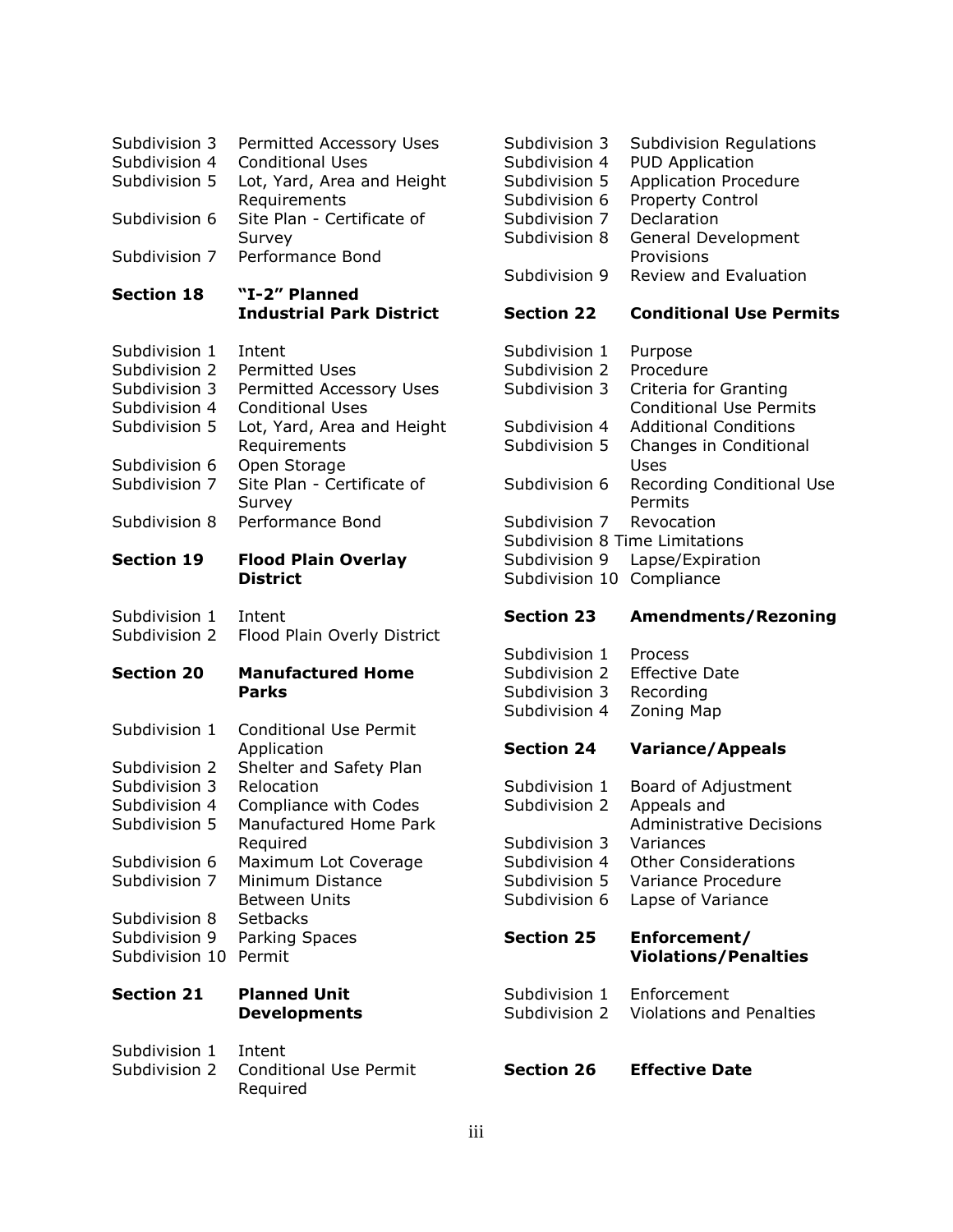| Subdivision 3<br>Subdivision 4<br>Subdivision 5<br>Subdivision 6<br>Subdivision 7                                                                                       | <b>Permitted Accessory Uses</b><br><b>Conditional Uses</b><br>Lot, Yard, Area and Height<br>Requirements<br>Site Plan - Certificate of<br>Survey<br>Performance Bond                                                                                                           |
|-------------------------------------------------------------------------------------------------------------------------------------------------------------------------|--------------------------------------------------------------------------------------------------------------------------------------------------------------------------------------------------------------------------------------------------------------------------------|
| <b>Section 18</b>                                                                                                                                                       | "I-2" Planned<br><b>Industrial Park District</b>                                                                                                                                                                                                                               |
| Subdivision 1<br>Subdivision 2<br>Subdivision 3<br>Subdivision 4<br>Subdivision 5<br>Subdivision 6<br>Subdivision 7<br>Subdivision 8                                    | Intent<br><b>Permitted Uses</b><br>Permitted Accessory Uses<br><b>Conditional Uses</b><br>Lot, Yard, Area and Height<br>Requirements<br>Open Storage<br>Site Plan - Certificate of<br>Survey<br>Performance Bond                                                               |
| <b>Section 19</b>                                                                                                                                                       | <b>Flood Plain Overlay</b><br><b>District</b>                                                                                                                                                                                                                                  |
| Subdivision 1<br>Subdivision 2                                                                                                                                          | Intent<br>Flood Plain Overly District                                                                                                                                                                                                                                          |
| <b>Section 20</b>                                                                                                                                                       | <b>Manufactured Home</b><br><b>Parks</b>                                                                                                                                                                                                                                       |
| Subdivision 1<br>Subdivision 2<br>Subdivision 3<br>Subdivision 4<br>Subdivision 5<br>Subdivision 6<br>Subdivision 7<br>Subdivision 8<br>Subdivision 9<br>Subdivision 10 | <b>Conditional Use Permit</b><br>Application<br>Shelter and Safety Plan<br>Relocation<br>Compliance with Codes<br>Manufactured Home Park<br>Required<br>Maximum Lot Coverage<br>Minimum Distance<br><b>Between Units</b><br><b>Setbacks</b><br><b>Parking Spaces</b><br>Permit |
|                                                                                                                                                                         |                                                                                                                                                                                                                                                                                |
| <b>Section 21</b>                                                                                                                                                       | <b>Planned Unit</b><br><b>Developments</b>                                                                                                                                                                                                                                     |

Required

| Subdivision 3 | <b>Subdivision Regulations</b> |
|---------------|--------------------------------|
| Subdivision 4 | <b>PUD Application</b>         |
| Subdivision 5 | <b>Application Procedure</b>   |
| Subdivision 6 | Property Control               |
| Subdivision 7 | Declaration                    |
| Subdivision 8 | General Development            |
|               | Provisions                     |
| Subdivision 9 | Review and Evaluation          |
|               |                                |

#### **Section 22 Conditional Use Permits**

| Subdivision 1                  | Purpose                          |
|--------------------------------|----------------------------------|
| Subdivision 2                  | Procedure                        |
| Subdivision 3                  | Criteria for Granting            |
|                                | <b>Conditional Use Permits</b>   |
| Subdivision 4                  | <b>Additional Conditions</b>     |
| Subdivision 5                  | Changes in Conditional           |
|                                | Uses                             |
| Subdivision 6                  | <b>Recording Conditional Use</b> |
|                                | Permits                          |
| Subdivision 7                  | Revocation                       |
| Subdivision 8 Time Limitations |                                  |
| Subdivision 9                  | Lapse/Expiration                 |
| Subdivision 10                 | Compliance                       |

#### **Section 23 Amendments/Rezoning**

| Subdivision 1 | Process               |
|---------------|-----------------------|
| Subdivision 2 | <b>Effective Date</b> |
| Subdivision 3 | Recording             |
| Subdivision 4 | Zoning Map            |

#### **Section 24 Variance/Appeals**

Subdivision 1 Board of Adjustment Subdivision 2 Appeals and Administrative Decisions Subdivision 3 Variances Subdivision 4 Other Considerations Subdivision 5 Variance Procedure Subdivision 6 Lapse of Variance

#### **Section 25 Enforcement/ Violations/Penalties**

Subdivision 1 Enforcement Subdivision 2 Violations and Penalties

#### **Section 26 Effective Date**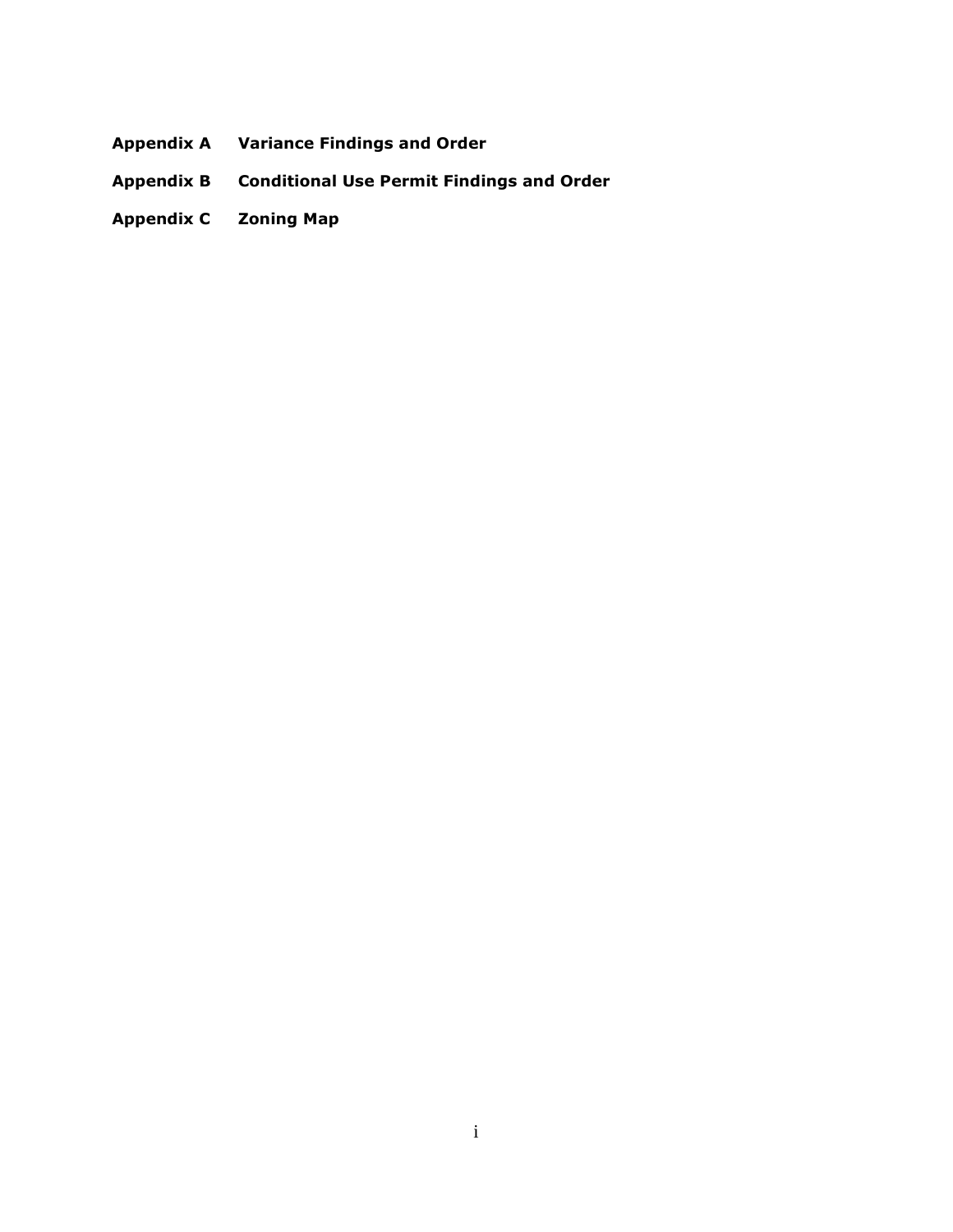- **Appendix A Variance Findings and Order**
- **Appendix B Conditional Use Permit Findings and Order**
- **Appendix C Zoning Map**